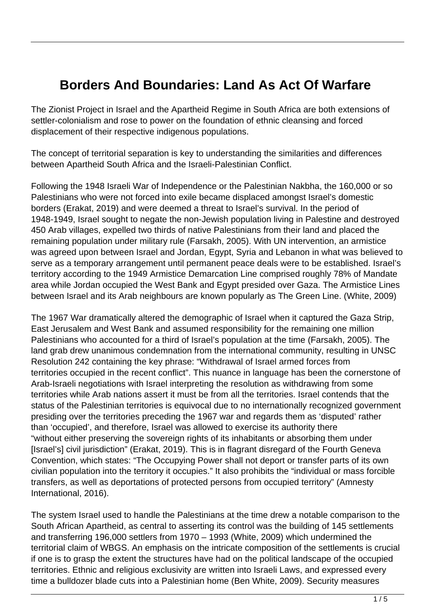## **Borders And Boundaries: Land As Act Of Warfare**

The Zionist Project in Israel and the Apartheid Regime in South Africa are both extensions of settler-colonialism and rose to power on the foundation of ethnic cleansing and forced displacement of their respective indigenous populations.

The concept of territorial separation is key to understanding the similarities and differences between Apartheid South Africa and the Israeli-Palestinian Conflict.

Following the 1948 Israeli War of Independence or the Palestinian Nakbha, the 160,000 or so Palestinians who were not forced into exile became displaced amongst Israel's domestic borders (Erakat, 2019) and were deemed a threat to Israel's survival. In the period of 1948-1949, Israel sought to negate the non-Jewish population living in Palestine and destroyed 450 Arab villages, expelled two thirds of native Palestinians from their land and placed the remaining population under military rule (Farsakh, 2005). With UN intervention, an armistice was agreed upon between Israel and Jordan, Egypt, Syria and Lebanon in what was believed to serve as a temporary arrangement until permanent peace deals were to be established. Israel's territory according to the 1949 Armistice Demarcation Line comprised roughly 78% of Mandate area while Jordan occupied the West Bank and Egypt presided over Gaza. The Armistice Lines between Israel and its Arab neighbours are known popularly as The Green Line. (White, 2009)

The 1967 War dramatically altered the demographic of Israel when it captured the Gaza Strip, East Jerusalem and West Bank and assumed responsibility for the remaining one million Palestinians who accounted for a third of Israel's population at the time (Farsakh, 2005). The land grab drew unanimous condemnation from the international community, resulting in UNSC Resolution 242 containing the key phrase: "Withdrawal of Israel armed forces from territories occupied in the recent conflict". This nuance in language has been the cornerstone of Arab-Israeli negotiations with Israel interpreting the resolution as withdrawing from some territories while Arab nations assert it must be from all the territories. Israel contends that the status of the Palestinian territories is equivocal due to no internationally recognized government presiding over the territories preceding the 1967 war and regards them as 'disputed' rather than 'occupied', and therefore, Israel was allowed to exercise its authority there "without either preserving the sovereign rights of its inhabitants or absorbing them under [Israel's] civil jurisdiction" (Erakat, 2019). This is in flagrant disregard of the Fourth Geneva Convention, which states: "The Occupying Power shall not deport or transfer parts of its own civilian population into the territory it occupies." It also prohibits the "individual or mass forcible transfers, as well as deportations of protected persons from occupied territory" (Amnesty International, 2016).

The system Israel used to handle the Palestinians at the time drew a notable comparison to the South African Apartheid, as central to asserting its control was the building of 145 settlements and transferring 196,000 settlers from 1970 – 1993 (White, 2009) which undermined the territorial claim of WBGS. An emphasis on the intricate composition of the settlements is crucial if one is to grasp the extent the structures have had on the political landscape of the occupied territories. Ethnic and religious exclusivity are written into Israeli Laws, and expressed every time a bulldozer blade cuts into a Palestinian home (Ben White, 2009). Security measures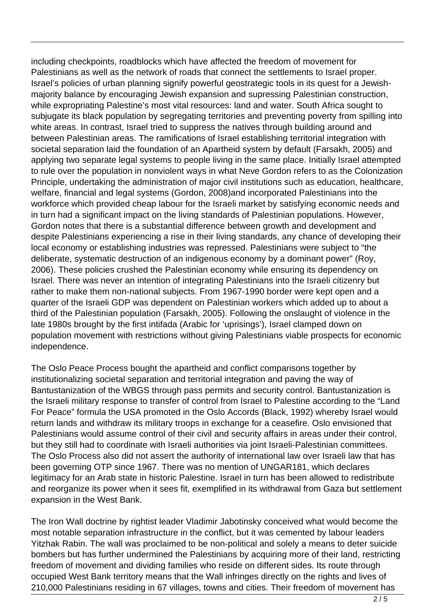including checkpoints, roadblocks which have affected the freedom of movement for Palestinians as well as the network of roads that connect the settlements to Israel proper. Israel's policies of urban planning signify powerful geostrategic tools in its quest for a Jewishmajority balance by encouraging Jewish expansion and supressing Palestinian construction, while expropriating Palestine's most vital resources: land and water. South Africa sought to subjugate its black population by segregating territories and preventing poverty from spilling into white areas. In contrast, Israel tried to suppress the natives through building around and between Palestinian areas. The ramifications of Israel establishing territorial integration with societal separation laid the foundation of an Apartheid system by default (Farsakh, 2005) and applying two separate legal systems to people living in the same place. Initially Israel attempted to rule over the population in nonviolent ways in what Neve Gordon refers to as the Colonization Principle, undertaking the administration of major civil institutions such as education, healthcare, welfare, financial and legal systems (Gordon, 2008)and incorporated Palestinians into the workforce which provided cheap labour for the Israeli market by satisfying economic needs and in turn had a significant impact on the living standards of Palestinian populations. However, Gordon notes that there is a substantial difference between growth and development and despite Palestinians experiencing a rise in their living standards, any chance of developing their local economy or establishing industries was repressed. Palestinians were subject to "the deliberate, systematic destruction of an indigenous economy by a dominant power" (Roy, 2006). These policies crushed the Palestinian economy while ensuring its dependency on Israel. There was never an intention of integrating Palestinians into the Israeli citizenry but rather to make them non-national subjects. From 1967-1990 border were kept open and a quarter of the Israeli GDP was dependent on Palestinian workers which added up to about a third of the Palestinian population (Farsakh, 2005). Following the onslaught of violence in the late 1980s brought by the first intifada (Arabic for 'uprisings'), Israel clamped down on population movement with restrictions without giving Palestinians viable prospects for economic independence.

The Oslo Peace Process bought the apartheid and conflict comparisons together by institutionalizing societal separation and territorial integration and paving the way of Bantustanization of the WBGS through pass permits and security control. Bantustanization is the Israeli military response to transfer of control from Israel to Palestine according to the "Land For Peace" formula the USA promoted in the Oslo Accords (Black, 1992) whereby Israel would return lands and withdraw its military troops in exchange for a ceasefire. Oslo envisioned that Palestinians would assume control of their civil and security affairs in areas under their control, but they still had to coordinate with Israeli authorities via joint Israeli-Palestinian committees. The Oslo Process also did not assert the authority of international law over Israeli law that has been governing OTP since 1967. There was no mention of UNGAR181, which declares legitimacy for an Arab state in historic Palestine. Israel in turn has been allowed to redistribute and reorganize its power when it sees fit, exemplified in its withdrawal from Gaza but settlement expansion in the West Bank.

The Iron Wall doctrine by rightist leader Vladimir Jabotinsky conceived what would become the most notable separation infrastructure in the conflict, but it was cemented by labour leaders Yitzhak Rabin. The wall was proclaimed to be non-political and solely a means to deter suicide bombers but has further undermined the Palestinians by acquiring more of their land, restricting freedom of movement and dividing families who reside on different sides. Its route through occupied West Bank territory means that the Wall infringes directly on the rights and lives of 210,000 Palestinians residing in 67 villages, towns and cities. Their freedom of movement has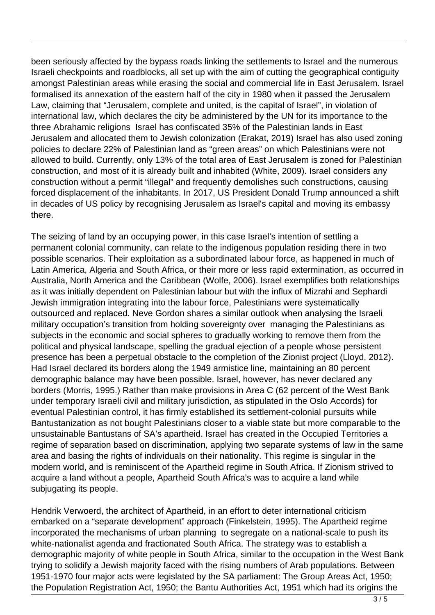been seriously affected by the bypass roads linking the settlements to Israel and the numerous Israeli checkpoints and roadblocks, all set up with the aim of cutting the geographical contiguity amongst Palestinian areas while erasing the social and commercial life in East Jerusalem. Israel formalised its annexation of the eastern half of the city in 1980 when it passed the Jerusalem Law, claiming that "Jerusalem, complete and united, is the capital of Israel", in violation of international law, which declares the city be administered by the UN for its importance to the three Abrahamic religions Israel has confiscated 35% of the Palestinian lands in East Jerusalem and allocated them to Jewish colonization (Erakat, 2019) Israel has also used zoning policies to declare 22% of Palestinian land as "green areas" on which Palestinians were not allowed to build. Currently, only 13% of the total area of East Jerusalem is zoned for Palestinian construction, and most of it is already built and inhabited (White, 2009). Israel considers any construction without a permit "illegal" and frequently demolishes such constructions, causing forced displacement of the inhabitants. In 2017, US President Donald Trump announced a shift in decades of US policy by recognising Jerusalem as Israel's capital and moving its embassy there.

The seizing of land by an occupying power, in this case Israel's intention of settling a permanent colonial community, can relate to the indigenous population residing there in two possible scenarios. Their exploitation as a subordinated labour force, as happened in much of Latin America, Algeria and South Africa, or their more or less rapid extermination, as occurred in Australia, North America and the Caribbean (Wolfe, 2006). Israel exemplifies both relationships as it was initially dependent on Palestinian labour but with the influx of Mizrahi and Sephardi Jewish immigration integrating into the labour force, Palestinians were systematically outsourced and replaced. Neve Gordon shares a similar outlook when analysing the Israeli military occupation's transition from holding sovereignty over managing the Palestinians as subjects in the economic and social spheres to gradually working to remove them from the political and physical landscape, spelling the gradual ejection of a people whose persistent presence has been a perpetual obstacle to the completion of the Zionist project (Lloyd, 2012). Had Israel declared its borders along the 1949 armistice line, maintaining an 80 percent demographic balance may have been possible. Israel, however, has never declared any borders (Morris, 1995.) Rather than make provisions in Area C (62 percent of the West Bank under temporary Israeli civil and military jurisdiction, as stipulated in the Oslo Accords) for eventual Palestinian control, it has firmly established its settlement-colonial pursuits while Bantustanization as not bought Palestinians closer to a viable state but more comparable to the unsustainable Bantustans of SA's apartheid. Israel has created in the Occupied Territories a regime of separation based on discrimination, applying two separate systems of law in the same area and basing the rights of individuals on their nationality. This regime is singular in the modern world, and is reminiscent of the Apartheid regime in South Africa. If Zionism strived to acquire a land without a people, Apartheid South Africa's was to acquire a land while subjugating its people.

Hendrik Verwoerd, the architect of Apartheid, in an effort to deter international criticism embarked on a "separate development" approach (Finkelstein, 1995). The Apartheid regime incorporated the mechanisms of urban planning to segregate on a national-scale to push its white-nationalist agenda and fractionated South Africa. The strategy was to establish a demographic majority of white people in South Africa, similar to the occupation in the West Bank trying to solidify a Jewish majority faced with the rising numbers of Arab populations. Between 1951-1970 four major acts were legislated by the SA parliament: The Group Areas Act, 1950; the Population Registration Act, 1950; the Bantu Authorities Act, 1951 which had its origins the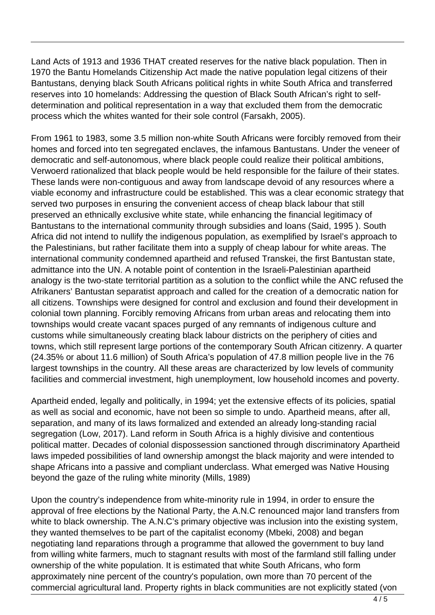Land Acts of 1913 and 1936 THAT created reserves for the native black population. Then in 1970 the Bantu Homelands Citizenship Act made the native population legal citizens of their Bantustans, denying black South Africans political rights in white South Africa and transferred reserves into 10 homelands: Addressing the question of Black South African's right to selfdetermination and political representation in a way that excluded them from the democratic process which the whites wanted for their sole control (Farsakh, 2005).

From 1961 to 1983, some 3.5 million non-white South Africans were forcibly removed from their homes and forced into ten segregated enclaves, the infamous Bantustans. Under the veneer of democratic and self-autonomous, where black people could realize their political ambitions, Verwoerd rationalized that black people would be held responsible for the failure of their states. These lands were non-contiguous and away from landscape devoid of any resources where a viable economy and infrastructure could be established. This was a clear economic strategy that served two purposes in ensuring the convenient access of cheap black labour that still preserved an ethnically exclusive white state, while enhancing the financial legitimacy of Bantustans to the international community through subsidies and loans (Said, 1995 ). South Africa did not intend to nullify the indigenous population, as exemplified by Israel's approach to the Palestinians, but rather facilitate them into a supply of cheap labour for white areas. The international community condemned apartheid and refused Transkei, the first Bantustan state, admittance into the UN. A notable point of contention in the Israeli-Palestinian apartheid analogy is the two-state territorial partition as a solution to the conflict while the ANC refused the Afrikaners' Bantustan separatist approach and called for the creation of a democratic nation for all citizens. Townships were designed for control and exclusion and found their development in colonial town planning. Forcibly removing Africans from urban areas and relocating them into townships would create vacant spaces purged of any remnants of indigenous culture and customs while simultaneously creating black labour districts on the periphery of cities and towns, which still represent large portions of the contemporary South African citizenry. A quarter (24.35% or about 11.6 million) of South Africa's population of 47.8 million people live in the 76 largest townships in the country. All these areas are characterized by low levels of community facilities and commercial investment, high unemployment, low household incomes and poverty.

Apartheid ended, legally and politically, in 1994; yet the extensive effects of its policies, spatial as well as social and economic, have not been so simple to undo. Apartheid means, after all, separation, and many of its laws formalized and extended an already long-standing racial segregation (Low, 2017). Land reform in South Africa is a highly divisive and contentious political matter. Decades of colonial dispossession sanctioned through discriminatory Apartheid laws impeded possibilities of land ownership amongst the black majority and were intended to shape Africans into a passive and compliant underclass. What emerged was Native Housing beyond the gaze of the ruling white minority (Mills, 1989)

Upon the country's independence from white-minority rule in 1994, in order to ensure the approval of free elections by the National Party, the A.N.C renounced major land transfers from white to black ownership. The A.N.C's primary objective was inclusion into the existing system, they wanted themselves to be part of the capitalist economy (Mbeki, 2008) and began negotiating land reparations through a programme that allowed the government to buy land from willing white farmers, much to stagnant results with most of the farmland still falling under ownership of the white population. It is estimated that white South Africans, who form approximately nine percent of the country's population, own more than 70 percent of the commercial agricultural land. Property rights in black communities are not explicitly stated (von